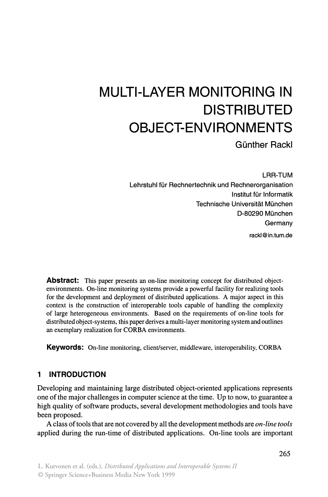# **MULTI-LAYER MONITORING IN DISTRIBUTED OBJECT-ENVIRONMENTS**

**Gunther Rackl** 

LRR-TUM Lehrstuhl für Rechnertechnik und Rechnerorganisation Institut für Informatik Technische Universität München D-80290 München Germany rackl@in.tum.de

**Abstract:** This paper presents an on-line monitoring concept for distributed objectenvironments. On-line monitoring systems provide a powerful facility for realizing tools for the development and deployment of distributed applications. A major aspect in this context is the construction of interoperable tools capable of handling the complexity of large heterogeneous environments. Based on the requirements of on-line tools for distributed object-systems, this paper derives a multi-layer monitoring system and outlines an exemplary realization for CORBA environments.

**Keywords:** On-line monitoring, client/server, middleware, interoperability, CORBA

## **1 INTRODUCTION**

Developing and maintaining large distributed object-oriented applications represents one of the major challenges in computer science at the time. Up to now, to guarantee a high quality of software products, several development methodologies and tools have been proposed.

A class of tools that are not covered by all the development methods are *on-line tools*  applied during the run-time of distributed applications. On-line tools are important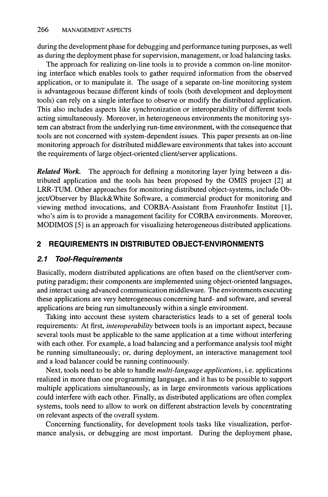during the development phase for debugging and performance tuning purposes, as well as during the deployment phase for supervision, management, or load balancing tasks.

The approach for realizing on-line tools is to provide a common on-line monitoring interface which enables tools to gather required information from the observed application, or to manipulate it. The usage of a separate on-line monitoring system is advantageous because different kinds of tools (both development and deployment tools) can rely on a single interface to observe or modify the distributed application. This also includes aspects like synchronization or interoperability of different tools acting simultaneously. Moreover, in heterogeneous environments the monitoring system can abstract from the underlying run-time environment, with the consequence that tools are not concerned with system-dependent issues. This paper presents an on-line monitoring approach for distributed middleware environments that takes into account the requirements of large object-oriented client/server applications.

*Related Work.* The approach for defining a monitoring layer lying between a distributed application and the tools has been proposed by the OMIS project [2] at LRR-TUM. Other approaches for monitoring distributed object-systems, include Object/Observer by Black& White Software, a commercial product for monitoring and viewing method invocations, and CORBA-Assistant from Fraunhofer Institut [1], who's aim is to provide a management facility for CORBA environments. Moreover, MODIMOS [5] is an approach for visualizing heterogeneous distributed applications.

## **2 REQUIREMENTS IN DISTRIBUTED OBJECT-ENVIRONMENTS**

#### *2.1 Tool-Requirements*

Basically, modem distributed applications are often based on the client/server computing paradigm; their components are implemented using object-oriented languages, and interact using advanced communication middleware. The environments executing these applications are very heterogeneous concerning hard- and software, and several applications are being run simultaneously within a single environment.

Taking into account these system characteristics leads to a set of general tools requirements: At first, *interoperability* between tools is an important aspect, because several tools must be applicable to the same application at a time without interfering with each other. For example, a load balancing and a performance analysis tool might be running simultaneously; or, during deployment, an interactive management tool and a load balancer could be running continuously.

Next, tools need to be able to handle *multi-language applications,* i.e. applications realized in more than one programming language, and it has to be possible to support multiple applications simultaneously, as in large environments various applications could interfere with each other. Finally, as distributed applications are often complex systems, tools need to allow to work on different abstraction levels by concentrating on relevant aspects of the overall system.

Concerning functionality, for development tools tasks like visualization, performance analysis, or debugging are most important. During the deployment phase,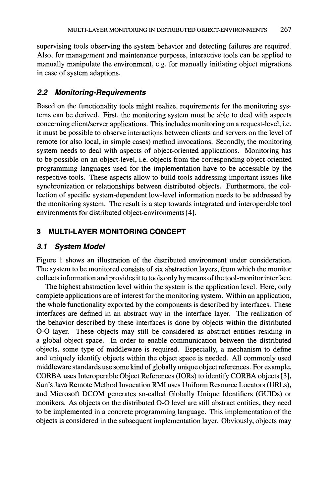supervising tools observing the system behavior and detecting failures are required. Also, for management and maintenance purposes, interactive tools can be applied to manually manipulate the environment, e.g. for manually initiating object migrations in case of system adaptions.

## *2.2 Monitoring-Requirements*

Based on the functionality tools might realize, requirements for the monitoring systems can be derived. First, the monitoring system must be able to deal with aspects concerning client/server applications. This includes monitoring on a request-level, i.e. it must be possible to observe interactions between clients and servers on the level of remote (or also local, in simple cases) method invocations. Secondly, the monitoring system needs to deal with aspects of object-oriented applications. Monitoring has to be possible on an object-level, i.e. objects from the corresponding object-oriented programming languages used for the implementation have to be accessible by the respective tools. These aspects allow to build tools addressing important issues like synchronization or relationships between distributed objects. Furthermore, the collection of specific system-dependent low-level information needs to be addressed by the monitoring system. The result is a step towards integrated and interoperable tool environments for distributed object-environments [4].

# **3 MULTI-LAYER MONITORING CONCEPT**

# *3.1 System Model*

Figure 1 shows an illustration of the distributed environment under consideration. The system to be monitored consists of six abstraction layers, from which the monitor collects information and provides it to tools only by means of the tool-monitor interface.

The highest abstraction level within the system is the application level. Here, only complete applications are of interest for the monitoring system. Within an application, the whole functionality exported by the components is described by interfaces. These interfaces are defined in an abstract way in the interface layer. The realization of the behavior described by these interfaces is done by objects within the distributed 0-0 layer. These objects may still be considered as abstract entities residing in a global object space. In order to enable communication between the distributed objects, some type of middleware is required. Especially, a mechanism to define and uniquely identify objects within the object space is needed. All commonly used middleware standards use some kind of globally unique object references. For example, CORBA uses Interoperable Object References (IORs) to identify CORBA objects [3], Sun's Java Remote Method Invocation RMI uses Uniform Resource Locators (URLs), and Microsoft DCOM generates so-called Globally Unique Identifiers (GUIDs) or monikers. As objects on the distributed 0-0 level are still abstract entities, they need to be implemented in a concrete programming language. This implementation of the objects is considered in the subsequent implementation layer. Obviously, objects may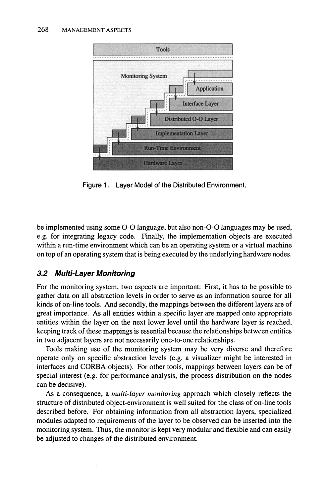

Figure 1. Layer Model of the Distributed Environment.

be implemented using some 0-0 language, but also non-O-O languages may be used, e.g. for integrating legacy code. Finally, the implementation objects are executed within a run-time environment which can be an operating system or a virtual machine on top of an operating system that is being executed by the underlying hardware nodes.

#### *3.2 Multi-Layer Monitoring*

For the monitoring system, two aspects are important: First, it has to be possible to gather data on all abstraction levels in order to serve as an information source for all kinds of on-line tools. And secondly, the mappings between the different layers are of great importance. As all entities within a specific layer are mapped onto appropriate entities within the layer on the next lower level until the hardware layer is reached, keeping track of these mappings is essential because the relationships between entities in two adjacent layers are not necessarily one-to-one relationships.

Tools making use of the monitoring system may be very diverse and therefore operate only on specific abstraction levels (e.g. a visualizer might be interested in interfaces and CORBA objects). For other tools, mappings between layers can be of special interest (e.g. for performance analysis, the process distribution on the nodes can be decisive).

As a consequence, a *multi-layer monitoring* approach which closely reflects the structure of distributed object-environment is well suited for the class of on-line tools described before. For obtaining information from all abstraction layers, specialized modules adapted to requirements of the layer to be observed can be inserted into the monitoring system. Thus, the monitor is kept very modular and flexible and can easily be adjusted to changes of the distributed environment.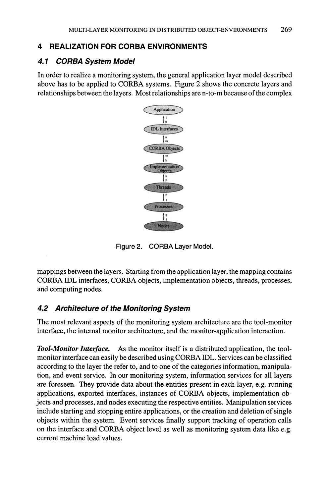## 4 REALIZATION FOR CORBA ENVIRONMENTS

## *4.1 CORBA System Model*

In order to realize a monitoring system, the general application layer model described above has to be applied to CORBA systems. Figure 2 shows the concrete layers and relationships between the layers. Most relationships are n-to-m because of the complex



Figure 2. CORBA Layer Model.

mappings between the layers. Starting from the application layer, the mapping contains CORBA IDL interfaces, CORBA objects, implementation objects, threads, processes, and computing nodes.

# *4.2 Architecture of the Monitoring System*

The most relevant aspects of the monitoring system architecture are the tool-monitor interface, the internal monitor architecture, and the monitor-application interaction.

*Tool-Monitor Interface.* As the monitor itself is a distributed application, the toolmonitor interface can easily be described using CORBA IDL. Services can be classified according to the layer the refer to, and to one of the categories information, manipulation, and event service. In our monitoring system, information services for all layers are foreseen. They provide data about the entities present in each layer, e.g. running applications, exported interfaces, instances of CORBA objects, implementation objects and processes, and nodes executing the respective entities. Manipulation services include starting and stopping entire applications, or the creation and deletion of single objects within the system. Event services finally support tracking of operation calls on the interface and CORBA object level as well as monitoring system data like e.g. current machine load values.